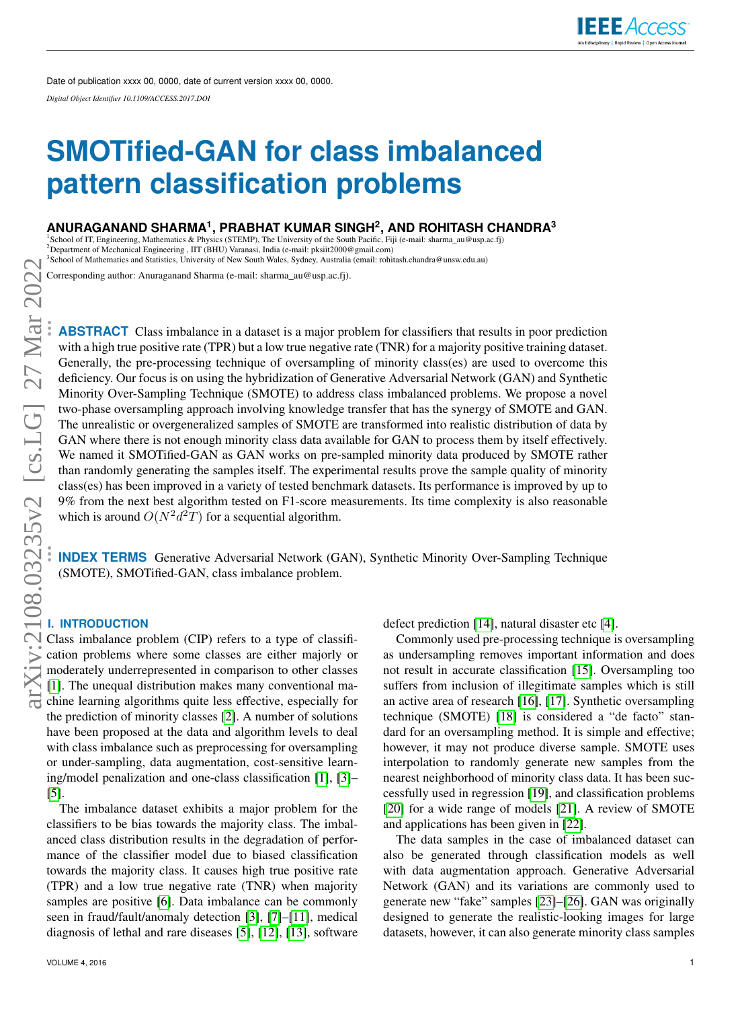# **SMOTified-GAN for class imbalanced pattern classification problems**

# **ANURAGANAND SHARMA<sup>1</sup> , PRABHAT KUMAR SINGH<sup>2</sup> , AND ROHITASH CHANDRA<sup>3</sup>**

<sup>1</sup>School of IT, Engineering, Mathematics & Physics (STEMP), The University of the South Pacific, Figure 3.<br><sup>2</sup>Department of Mechanical Engineering , IIT (BHU) Varanasi, India (e-mail: pksiit2000@gmail.com)<br><sup>3</sup>School of M <sup>1</sup>School of IT, Engineering, Mathematics & Physics (STEMP), The University of the South Pacific, Fiji (e-mail: sharma\_au@usp.ac.fj)<br><sup>2</sup>Department of Mechanical Engineering , IIT (BHU) Varanasi, India (e-mail: pksiit2000@g

School of Mathematics and Statistics, University of New South Wales, Sydney, Australia (email: rohitash.chandra@unsw.edu.au)

Corresponding author: Anuraganand Sharma (e-mail: sharma\_au@usp.ac.fj).

**ABSTRACT** Class imbalance in a dataset is a major problem for classifiers that results in poor prediction with a high true positive rate (TPR) but a low true negative rate (TNR) for a majority positive training dataset. Generally, the pre-processing technique of oversampling of minority class(es) are used to overcome this deficiency. Our focus is on using the hybridization of Generative Adversarial Network (GAN) and Synthetic Minority Over-Sampling Technique (SMOTE) to address class imbalanced problems. We propose a novel two-phase oversampling approach involving knowledge transfer that has the synergy of SMOTE and GAN. The unrealistic or overgeneralized samples of SMOTE are transformed into realistic distribution of data by GAN where there is not enough minority class data available for GAN to process them by itself effectively. We named it SMOTified-GAN as GAN works on pre-sampled minority data produced by SMOTE rather than randomly generating the samples itself. The experimental results prove the sample quality of minority class(es) has been improved in a variety of tested benchmark datasets. Its performance is improved by up to 9% from the next best algorithm tested on F1-score measurements. Its time complexity is also reasonable which is around  $O(N^2d^2T)$  for a sequential algorithm.

**INDEX TERMS** Generative Adversarial Network (GAN), Synthetic Minority Over-Sampling Technique (SMOTE), SMOTified-GAN, class imbalance problem.

# **I. INTRODUCTION**

Class imbalance problem (CIP) refers to a type of classification problems where some classes are either majorly or moderately underrepresented in comparison to other classes [\[1\]](#page-8-0). The unequal distribution makes many conventional machine learning algorithms quite less effective, especially for the prediction of minority classes [\[2\]](#page-8-1). A number of solutions have been proposed at the data and algorithm levels to deal with class imbalance such as preprocessing for oversampling or under-sampling, data augmentation, cost-sensitive learning/model penalization and one-class classification [\[1\]](#page-8-0), [\[3\]](#page-8-2)– [\[5\]](#page-9-0).

The imbalance dataset exhibits a major problem for the classifiers to be bias towards the majority class. The imbalanced class distribution results in the degradation of performance of the classifier model due to biased classification towards the majority class. It causes high true positive rate (TPR) and a low true negative rate (TNR) when majority samples are positive [\[6\]](#page-9-1). Data imbalance can be commonly seen in fraud/fault/anomaly detection [\[3\]](#page-8-2), [\[7\]](#page-9-2)–[\[11\]](#page-9-3), medical diagnosis of lethal and rare diseases [\[5\]](#page-9-0), [\[12\]](#page-9-4), [\[13\]](#page-9-5), software defect prediction [\[14\]](#page-9-6), natural disaster etc [\[4\]](#page-9-7).

Commonly used pre-processing technique is oversampling as undersampling removes important information and does not result in accurate classification [\[15\]](#page-9-8). Oversampling too suffers from inclusion of illegitimate samples which is still an active area of research [\[16\]](#page-9-9), [\[17\]](#page-9-10). Synthetic oversampling technique (SMOTE) [\[18\]](#page-9-11) is considered a "de facto" standard for an oversampling method. It is simple and effective; however, it may not produce diverse sample. SMOTE uses interpolation to randomly generate new samples from the nearest neighborhood of minority class data. It has been successfully used in regression [\[19\]](#page-9-12), and classification problems [\[20\]](#page-9-13) for a wide range of models [\[21\]](#page-9-14). A review of SMOTE and applications has been given in [\[22\]](#page-9-15).

The data samples in the case of imbalanced dataset can also be generated through classification models as well with data augmentation approach. Generative Adversarial Network (GAN) and its variations are commonly used to generate new "fake" samples [\[23\]](#page-9-16)–[\[26\]](#page-9-17). GAN was originally designed to generate the realistic-looking images for large datasets, however, it can also generate minority class samples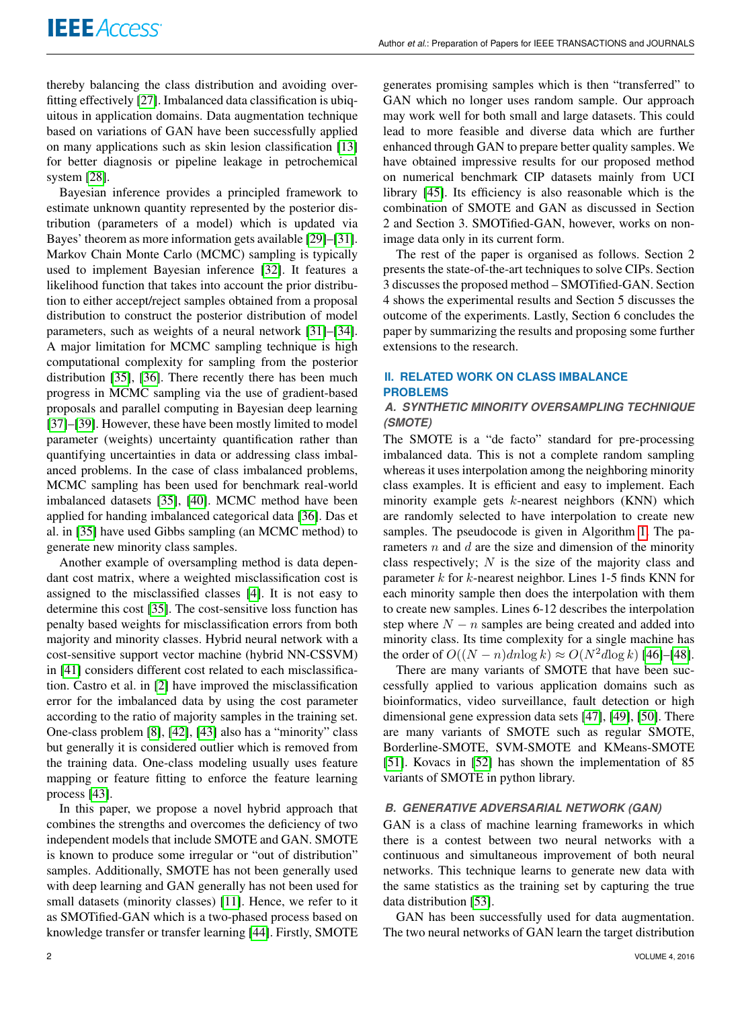thereby balancing the class distribution and avoiding overfitting effectively [\[27\]](#page-9-18). Imbalanced data classification is ubiquitous in application domains. Data augmentation technique based on variations of GAN have been successfully applied on many applications such as skin lesion classification [\[13\]](#page-9-5) for better diagnosis or pipeline leakage in petrochemical system [\[28\]](#page-9-19).

Bayesian inference provides a principled framework to estimate unknown quantity represented by the posterior distribution (parameters of a model) which is updated via Bayes' theorem as more information gets available [\[29\]](#page-10-0)–[\[31\]](#page-10-1). Markov Chain Monte Carlo (MCMC) sampling is typically used to implement Bayesian inference [\[32\]](#page-10-2). It features a likelihood function that takes into account the prior distribution to either accept/reject samples obtained from a proposal distribution to construct the posterior distribution of model parameters, such as weights of a neural network [\[31\]](#page-10-1)–[\[34\]](#page-10-3). A major limitation for MCMC sampling technique is high computational complexity for sampling from the posterior distribution [\[35\]](#page-10-4), [\[36\]](#page-10-5). There recently there has been much progress in MCMC sampling via the use of gradient-based proposals and parallel computing in Bayesian deep learning [\[37\]](#page-10-6)–[\[39\]](#page-10-7). However, these have been mostly limited to model parameter (weights) uncertainty quantification rather than quantifying uncertainties in data or addressing class imbalanced problems. In the case of class imbalanced problems, MCMC sampling has been used for benchmark real-world imbalanced datasets [\[35\]](#page-10-4), [\[40\]](#page-10-8). MCMC method have been applied for handing imbalanced categorical data [\[36\]](#page-10-5). Das et al. in [\[35\]](#page-10-4) have used Gibbs sampling (an MCMC method) to generate new minority class samples.

Another example of oversampling method is data dependant cost matrix, where a weighted misclassification cost is assigned to the misclassified classes [\[4\]](#page-9-7). It is not easy to determine this cost [\[35\]](#page-10-4). The cost-sensitive loss function has penalty based weights for misclassification errors from both majority and minority classes. Hybrid neural network with a cost-sensitive support vector machine (hybrid NN-CSSVM) in [\[41\]](#page-10-9) considers different cost related to each misclassification. Castro et al. in [\[2\]](#page-8-1) have improved the misclassification error for the imbalanced data by using the cost parameter according to the ratio of majority samples in the training set. One-class problem [\[8\]](#page-9-20), [\[42\]](#page-10-10), [\[43\]](#page-10-11) also has a "minority" class but generally it is considered outlier which is removed from the training data. One-class modeling usually uses feature mapping or feature fitting to enforce the feature learning process [\[43\]](#page-10-11).

In this paper, we propose a novel hybrid approach that combines the strengths and overcomes the deficiency of two independent models that include SMOTE and GAN. SMOTE is known to produce some irregular or "out of distribution" samples. Additionally, SMOTE has not been generally used with deep learning and GAN generally has not been used for small datasets (minority classes) [\[11\]](#page-9-3). Hence, we refer to it as SMOTified-GAN which is a two-phased process based on knowledge transfer or transfer learning [\[44\]](#page-10-12). Firstly, SMOTE generates promising samples which is then "transferred" to GAN which no longer uses random sample. Our approach may work well for both small and large datasets. This could lead to more feasible and diverse data which are further enhanced through GAN to prepare better quality samples. We have obtained impressive results for our proposed method on numerical benchmark CIP datasets mainly from UCI library [\[45\]](#page-10-13). Its efficiency is also reasonable which is the combination of SMOTE and GAN as discussed in Section 2 and Section 3. SMOTified-GAN, however, works on nonimage data only in its current form.

The rest of the paper is organised as follows. Section 2 presents the state-of-the-art techniques to solve CIPs. Section 3 discusses the proposed method – SMOTified-GAN. Section 4 shows the experimental results and Section 5 discusses the outcome of the experiments. Lastly, Section 6 concludes the paper by summarizing the results and proposing some further extensions to the research.

## **II. RELATED WORK ON CLASS IMBALANCE PROBLEMS**

## *A. SYNTHETIC MINORITY OVERSAMPLING TECHNIQUE (SMOTE)*

The SMOTE is a "de facto" standard for pre-processing imbalanced data. This is not a complete random sampling whereas it uses interpolation among the neighboring minority class examples. It is efficient and easy to implement. Each minority example gets  $k$ -nearest neighbors (KNN) which are randomly selected to have interpolation to create new samples. The pseudocode is given in Algorithm [1.](#page-2-0) The parameters  $n$  and  $d$  are the size and dimension of the minority class respectively;  $N$  is the size of the majority class and parameter  $k$  for  $k$ -nearest neighbor. Lines 1-5 finds KNN for each minority sample then does the interpolation with them to create new samples. Lines 6-12 describes the interpolation step where  $N - n$  samples are being created and added into minority class. Its time complexity for a single machine has the order of  $O((N - n)dn \log k) \approx O(N^2d \log k)$  [\[46\]](#page-10-14)–[\[48\]](#page-10-15).

There are many variants of SMOTE that have been successfully applied to various application domains such as bioinformatics, video surveillance, fault detection or high dimensional gene expression data sets [\[47\]](#page-10-16), [\[49\]](#page-10-17), [\[50\]](#page-10-18). There are many variants of SMOTE such as regular SMOTE, Borderline-SMOTE, SVM-SMOTE and KMeans-SMOTE [\[51\]](#page-10-19). Kovacs in [\[52\]](#page-10-20) has shown the implementation of 85 variants of SMOTE in python library.

## *B. GENERATIVE ADVERSARIAL NETWORK (GAN)*

GAN is a class of machine learning frameworks in which there is a contest between two neural networks with a continuous and simultaneous improvement of both neural networks. This technique learns to generate new data with the same statistics as the training set by capturing the true data distribution [\[53\]](#page-10-21).

GAN has been successfully used for data augmentation. The two neural networks of GAN learn the target distribution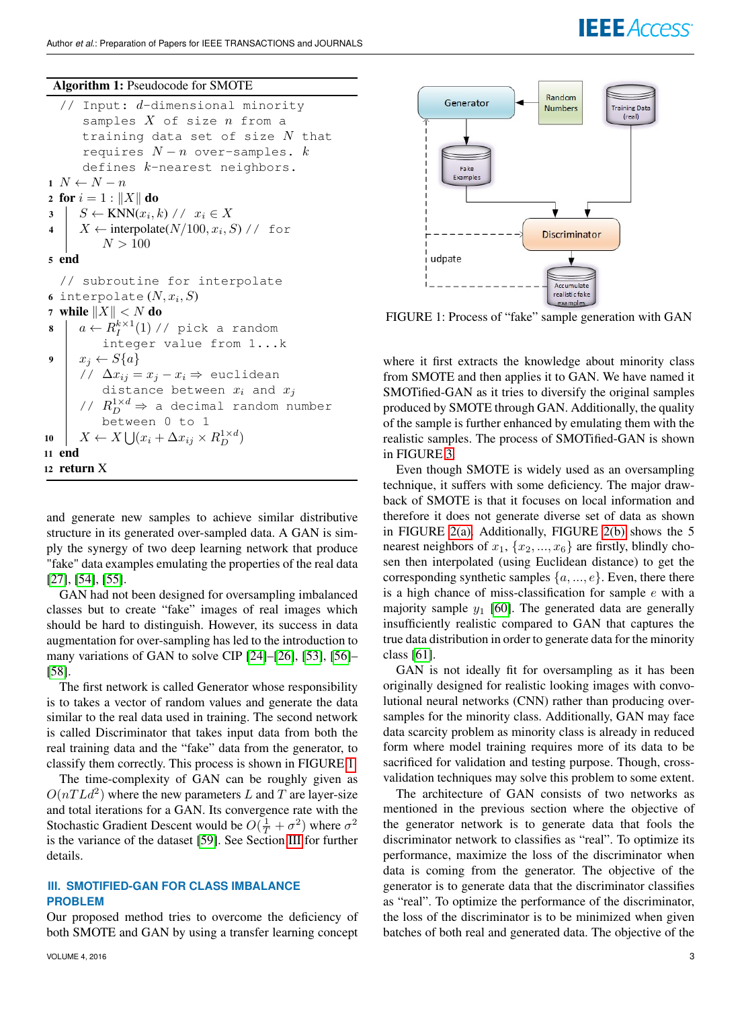### Algorithm 1: Pseudocode for SMOTE

```
// Input: d-dimensional minority
        samples X of size n from a
       training data set of size N that
       requires N - n over-samples. kdefines k-nearest neighbors.
1 N \leftarrow N - n2 for i = 1 : ||X|| do
 3 \mid S \leftarrow \text{KNN}(x_i, k) / / x_i \in X4 \mid X \leftarrow \text{interpolate}(N/100, x_i, S) // for
           N > 1005 end
   // subroutine for interpolate
 6 interpolate (N, x_i, S)7 while ||X|| < N do
 \begin{array}{l} \mathbf{s} \end{array} \Big\vert \quad a \leftarrow R^{k \times 1}_I(1) \text{ // pick a random}integer value from 1...k
9 x_i \leftarrow S\{a\}// \Delta x_{ij} = x_j - x_i \Rightarrow euclidean
           distance between x_i and x_j// R_D^{1 \times d} \Rightarrow a decimal random number
            between 0 to 1
10 \mid X \leftarrow X \bigcup (x_i + \Delta x_{ij} \times R_D^{1 \times d})11 end
12 return X
```
and generate new samples to achieve similar distributive structure in its generated over-sampled data. A GAN is simply the synergy of two deep learning network that produce "fake" data examples emulating the properties of the real data [\[27\]](#page-9-18), [\[54\]](#page-10-22), [\[55\]](#page-10-23).

GAN had not been designed for oversampling imbalanced classes but to create "fake" images of real images which should be hard to distinguish. However, its success in data augmentation for over-sampling has led to the introduction to many variations of GAN to solve CIP [\[24\]](#page-9-21)–[\[26\]](#page-9-17), [\[53\]](#page-10-21), [\[56\]](#page-10-24)– [\[58\]](#page-10-25).

The first network is called Generator whose responsibility is to takes a vector of random values and generate the data similar to the real data used in training. The second network is called Discriminator that takes input data from both the real training data and the "fake" data from the generator, to classify them correctly. This process is shown in FIGURE [1.](#page-2-1)

The time-complexity of GAN can be roughly given as  $O(nTLd^2)$  where the new parameters L and T are layer-size and total iterations for a GAN. Its convergence rate with the Stochastic Gradient Descent would be  $O(\frac{1}{T} + \sigma^2)$  where  $\sigma^2$ is the variance of the dataset [\[59\]](#page-10-26). See Section [III](#page-2-2) for further details.

## <span id="page-2-2"></span>**III. SMOTIFIED-GAN FOR CLASS IMBALANCE PROBLEM**

Our proposed method tries to overcome the deficiency of both SMOTE and GAN by using a transfer learning concept

<span id="page-2-1"></span>

FIGURE 1: Process of "fake" sample generation with GAN

where it first extracts the knowledge about minority class from SMOTE and then applies it to GAN. We have named it SMOTified-GAN as it tries to diversify the original samples produced by SMOTE through GAN. Additionally, the quality of the sample is further enhanced by emulating them with the realistic samples. The process of SMOTified-GAN is shown in FIGURE [3.](#page-5-0)

Even though SMOTE is widely used as an oversampling technique, it suffers with some deficiency. The major drawback of SMOTE is that it focuses on local information and therefore it does not generate diverse set of data as shown in FIGURE [2\(a\).](#page-3-0) Additionally, FIGURE [2\(b\)](#page-3-1) shows the 5 nearest neighbors of  $x_1, \{x_2, ..., x_6\}$  are firstly, blindly chosen then interpolated (using Euclidean distance) to get the corresponding synthetic samples  $\{a, ..., e\}$ . Even, there there is a high chance of miss-classification for sample  $e$  with a majority sample  $y_1$  [\[60\]](#page-10-27). The generated data are generally insufficiently realistic compared to GAN that captures the true data distribution in order to generate data for the minority class [\[61\]](#page-10-28).

GAN is not ideally fit for oversampling as it has been originally designed for realistic looking images with convolutional neural networks (CNN) rather than producing oversamples for the minority class. Additionally, GAN may face data scarcity problem as minority class is already in reduced form where model training requires more of its data to be sacrificed for validation and testing purpose. Though, crossvalidation techniques may solve this problem to some extent.

The architecture of GAN consists of two networks as mentioned in the previous section where the objective of the generator network is to generate data that fools the discriminator network to classifies as "real". To optimize its performance, maximize the loss of the discriminator when data is coming from the generator. The objective of the generator is to generate data that the discriminator classifies as "real". To optimize the performance of the discriminator, the loss of the discriminator is to be minimized when given batches of both real and generated data. The objective of the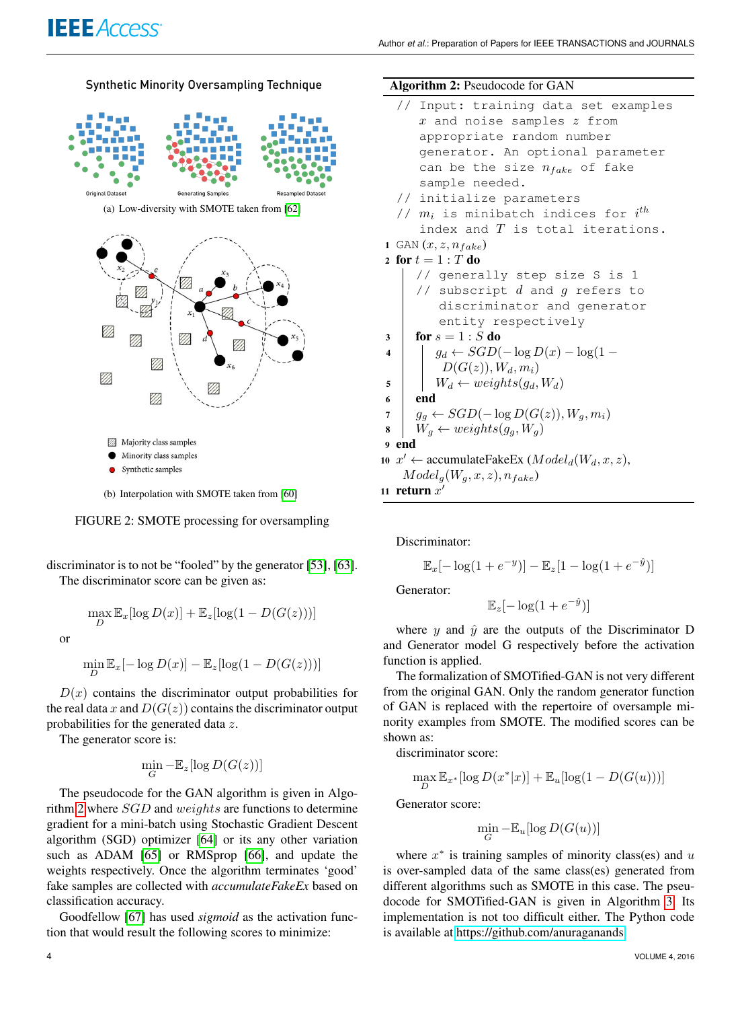<span id="page-3-0"></span>

<span id="page-3-1"></span>FIGURE 2: SMOTE processing for oversampling

discriminator is to not be "fooled" by the generator [\[53\]](#page-10-21), [\[63\]](#page-10-30). The discriminator score can be given as:

$$
\max_{D} \mathbb{E}_{x}[\log D(x)] + \mathbb{E}_{z}[\log(1 - D(G(z)))]
$$

or

 $\min_D \mathbb{E}_x[-\log D(x)] - \mathbb{E}_z[\log(1 - D(G(z)))]$ 

 $D(x)$  contains the discriminator output probabilities for the real data x and  $D(G(z))$  contains the discriminator output probabilities for the generated data z.

The generator score is:

$$
\min_G -\mathbb{E}_z[\log D(G(z))]
$$

The pseudocode for the GAN algorithm is given in Algorithm [2](#page-3-2) where SGD and weights are functions to determine gradient for a mini-batch using Stochastic Gradient Descent algorithm (SGD) optimizer [\[64\]](#page-10-31) or its any other variation such as ADAM [\[65\]](#page-10-32) or RMSprop [\[66\]](#page-10-33), and update the weights respectively. Once the algorithm terminates 'good' fake samples are collected with *accumulateFakeEx* based on classification accuracy.

Goodfellow [\[67\]](#page-10-34) has used *sigmoid* as the activation function that would result the following scores to minimize:

#### Algorithm 2: Pseudocode for GAN

- <span id="page-3-2"></span>// Input: training data set examples  $x$  and noise samples  $z$  from appropriate random number generator. An optional parameter can be the size  $n_{fake}$  of fake sample needed. // initialize parameters //  $m_i$  is minibatch indices for  $i^{th}$
- index and  $T$  is total iterations.
- 1 GAN  $(x, z, n_{fake})$

$$
2 \text{ for } t = 1 : T \text{ do}
$$

// generally step size S is 1 // subscript d and g refers to discriminator and generator entity respectively

$$
3 \mid \textbf{for } s = 1 : S \textbf{ do}
$$

4 
$$
\begin{array}{c|c} 4 & g_d \leftarrow SGD(-\log D(x) - \log(1 - \log x)) & D(G(z)), W_d, m_i) \end{array}
$$

$$
\mathsf{s} \quad | \quad W_d \leftarrow weights(g_d, W_d)
$$

$$
6 \mid end
$$

$$
7 \mid g_g \leftarrow SGD(-\log D(G(z)), W_g, m_i)
$$

$$
8 \mid W_g \leftarrow weights(g_g, W_g)
$$

9 end

 $\mathbf{1}$ 

$$
x' \leftarrow \text{accumulateFakeEx } (Model_d(W_d, x, z),
$$
  

$$
Model_g(W_g, x, z), n_{fake})
$$

11 return  $x'$ 

Discriminator:

$$
\mathbb{E}_x[-\log(1+e^{-y})] - \mathbb{E}_z[1-\log(1+e^{-\hat{y}})]
$$

Generator:

$$
\mathbb{E}_z[-\log(1+e^{-\hat{y}})]
$$

where y and  $\hat{y}$  are the outputs of the Discriminator D and Generator model G respectively before the activation function is applied.

The formalization of SMOTified-GAN is not very different from the original GAN. Only the random generator function of GAN is replaced with the repertoire of oversample minority examples from SMOTE. The modified scores can be shown as:

discriminator score:

$$
\max_{D} \mathbb{E}_{x^*}[\log D(x^*|x)] + \mathbb{E}_u[\log(1 - D(G(u)))]
$$

Generator score:

$$
\min_G -\mathbb{E}_u[\log D(G(u))]
$$

where  $x^*$  is training samples of minority class(es) and  $u$ is over-sampled data of the same class(es) generated from different algorithms such as SMOTE in this case. The pseudocode for SMOTified-GAN is given in Algorithm [3.](#page-4-0) Its implementation is not too difficult either. The Python code is available at [https://github.com/anuraganands.]( https://github.com/anuraganands)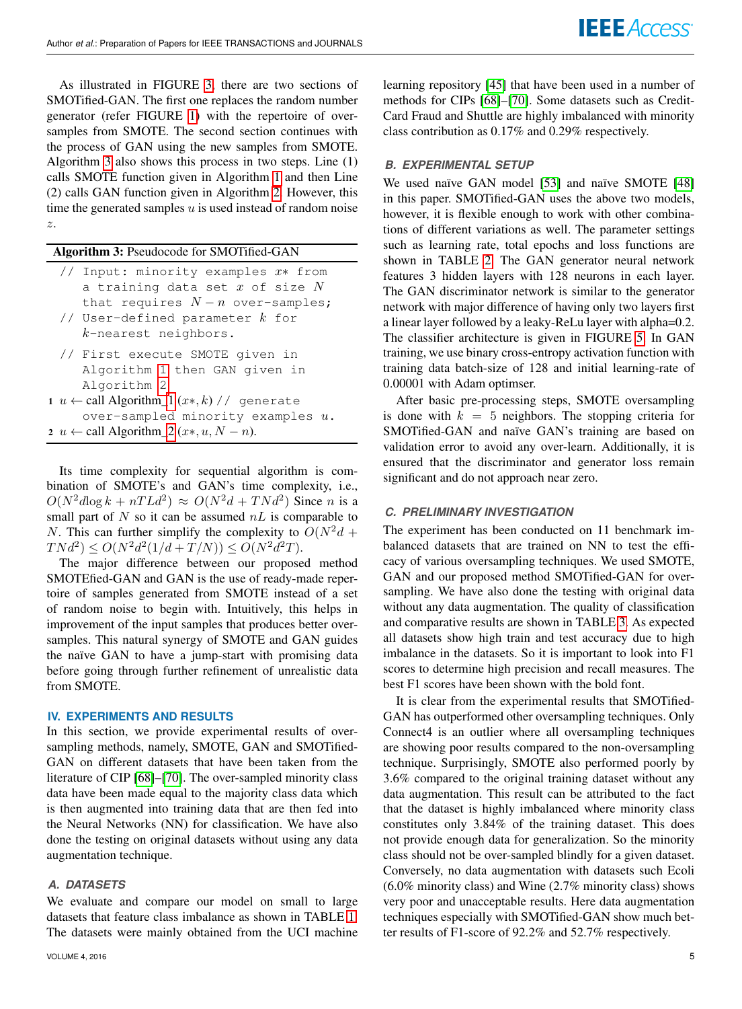As illustrated in FIGURE [3,](#page-5-0) there are two sections of SMOTified-GAN. The first one replaces the random number generator (refer FIGURE [1\)](#page-2-1) with the repertoire of oversamples from SMOTE. The second section continues with the process of GAN using the new samples from SMOTE. Algorithm [3](#page-4-0) also shows this process in two steps. Line (1) calls SMOTE function given in Algorithm [1](#page-2-0) and then Line (2) calls GAN function given in Algorithm [2.](#page-3-2) However, this time the generated samples  $u$  is used instead of random noise z.

#### Algorithm 3: Pseudocode for SMOTified-GAN

- <span id="page-4-0"></span>// Input: minority examples x∗ from a training data set  $x$  of size  $N$ that requires  $N - n$  over-samples;
- // User-defined parameter  $k$  for k-nearest neighbors.
- // First execute SMOTE given in Algorithm [1](#page-2-0) then GAN given in Algorithm [2](#page-3-2)
- 1 *u* ← call Algorithm[\\_1](#page-2-0)  $(x*, k)$  // generate over-sampled minority examples  $u$ . 2 *u* ← call Algorithm[\\_2](#page-3-2) ( $x*, u, N - n$ ).
- 

Its time complexity for sequential algorithm is combination of SMOTE's and GAN's time complexity, i.e.,  $O(N^2d\log k + nTLd^2) \approx O(N^2d + TNd^2)$  Since n is a small part of  $N$  so it can be assumed  $nL$  is comparable to N. This can further simplify the complexity to  $O(N^2d +$  $T N d^2 \le O(N^2 d^2 (1/d + T/N)) \le O(N^2 d^2 T).$ 

The major difference between our proposed method SMOTEfied-GAN and GAN is the use of ready-made repertoire of samples generated from SMOTE instead of a set of random noise to begin with. Intuitively, this helps in improvement of the input samples that produces better oversamples. This natural synergy of SMOTE and GAN guides the naïve GAN to have a jump-start with promising data before going through further refinement of unrealistic data from SMOTE.

#### **IV. EXPERIMENTS AND RESULTS**

In this section, we provide experimental results of oversampling methods, namely, SMOTE, GAN and SMOTified-GAN on different datasets that have been taken from the literature of CIP [\[68\]](#page-10-35)–[\[70\]](#page-10-36). The over-sampled minority class data have been made equal to the majority class data which is then augmented into training data that are then fed into the Neural Networks (NN) for classification. We have also done the testing on original datasets without using any data augmentation technique.

## *A. DATASETS*

We evaluate and compare our model on small to large datasets that feature class imbalance as shown in TABLE [1.](#page-5-1) The datasets were mainly obtained from the UCI machine learning repository [\[45\]](#page-10-13) that have been used in a number of methods for CIPs [\[68\]](#page-10-35)–[\[70\]](#page-10-36). Some datasets such as Credit-Card Fraud and Shuttle are highly imbalanced with minority class contribution as 0.17% and 0.29% respectively.

#### *B. EXPERIMENTAL SETUP*

We used naïve GAN model [\[53\]](#page-10-21) and naïve SMOTE [\[48\]](#page-10-15) in this paper. SMOTified-GAN uses the above two models, however, it is flexible enough to work with other combinations of different variations as well. The parameter settings such as learning rate, total epochs and loss functions are shown in TABLE [2.](#page-5-2) The GAN generator neural network features 3 hidden layers with 128 neurons in each layer. The GAN discriminator network is similar to the generator network with major difference of having only two layers first a linear layer followed by a leaky-ReLu layer with alpha=0.2. The classifier architecture is given in FIGURE [5.](#page-6-0) In GAN training, we use binary cross-entropy activation function with training data batch-size of 128 and initial learning-rate of 0.00001 with Adam optimser.

After basic pre-processing steps, SMOTE oversampling is done with  $k = 5$  neighbors. The stopping criteria for SMOTified-GAN and naïve GAN's training are based on validation error to avoid any over-learn. Additionally, it is ensured that the discriminator and generator loss remain significant and do not approach near zero.

## *C. PRELIMINARY INVESTIGATION*

The experiment has been conducted on 11 benchmark imbalanced datasets that are trained on NN to test the efficacy of various oversampling techniques. We used SMOTE, GAN and our proposed method SMOTified-GAN for oversampling. We have also done the testing with original data without any data augmentation. The quality of classification and comparative results are shown in TABLE [3.](#page-7-0) As expected all datasets show high train and test accuracy due to high imbalance in the datasets. So it is important to look into F1 scores to determine high precision and recall measures. The best F1 scores have been shown with the bold font.

It is clear from the experimental results that SMOTified-GAN has outperformed other oversampling techniques. Only Connect4 is an outlier where all oversampling techniques are showing poor results compared to the non-oversampling technique. Surprisingly, SMOTE also performed poorly by 3.6% compared to the original training dataset without any data augmentation. This result can be attributed to the fact that the dataset is highly imbalanced where minority class constitutes only 3.84% of the training dataset. This does not provide enough data for generalization. So the minority class should not be over-sampled blindly for a given dataset. Conversely, no data augmentation with datasets such Ecoli (6.0% minority class) and Wine (2.7% minority class) shows very poor and unacceptable results. Here data augmentation techniques especially with SMOTified-GAN show much better results of F1-score of 92.2% and 52.7% respectively.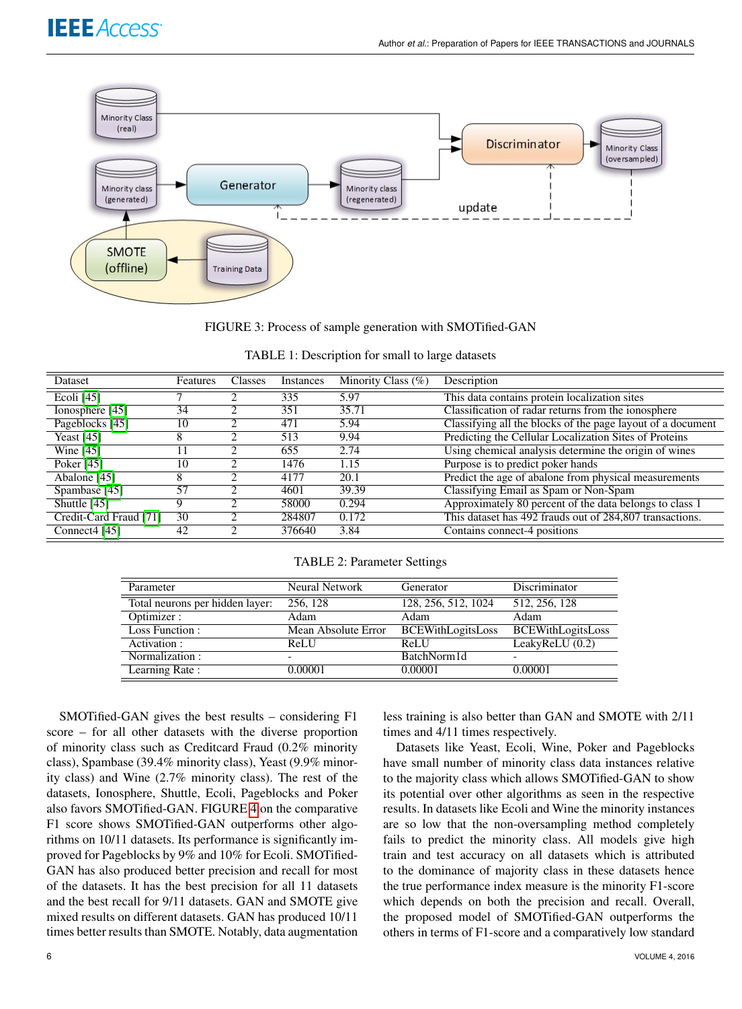<span id="page-5-0"></span>

FIGURE 3: Process of sample generation with SMOTified-GAN

| TABLE 1: Description for small to large datasets |  |
|--------------------------------------------------|--|
|                                                  |  |

<span id="page-5-1"></span>

| <b>Dataset</b>            | Features | <b>Classes</b>              | Instances | Minority Class $(\%)$ | Description                                                 |
|---------------------------|----------|-----------------------------|-----------|-----------------------|-------------------------------------------------------------|
| Ecoli $[45]$              |          |                             | 335       | 5.97                  | This data contains protein localization sites               |
| Ionosphere [45]           | 34       | $\mathcal{D}_{\mathcal{L}}$ | 351       | 35.71                 | Classification of radar returns from the ionosphere         |
| Pageblocks [45]           | 10       | ာ                           | 471       | 5.94                  | Classifying all the blocks of the page layout of a document |
| Yeast $[45]$              | 8        | ◠                           | 513       | 9.94                  | Predicting the Cellular Localization Sites of Proteins      |
| Wine $[45]$               |          | ∍                           | 655       | 2.74                  | Using chemical analysis determine the origin of wines       |
| Poker [45]                | 10       | ി                           | 1476      | 1.15                  | Purpose is to predict poker hands                           |
| Abalone [45]              | 8        | ◠                           | 4177      | 20.1                  | Predict the age of abalone from physical measurements       |
| Spambase [45]             | 57       | ∍                           | 4601      | 39.39                 | Classifying Email as Spam or Non-Spam                       |
| Shuttle $[45]$            | Q        | ◠                           | 58000     | 0.294                 | Approximately 80 percent of the data belongs to class 1     |
| Credit-Card Fraud [71]    | 30       | ി                           | 284807    | 0.172                 | This dataset has 492 frauds out of 284,807 transactions.    |
| Connect <sub>4</sub> [45] | 42       | ာ                           | 376640    | 3.84                  | Contains connect-4 positions                                |

TABLE 2: Parameter Settings

<span id="page-5-2"></span>

| Parameter                       | <b>Neural Network</b> | Generator                | Discriminator            |  |
|---------------------------------|-----------------------|--------------------------|--------------------------|--|
| Total neurons per hidden layer: | 256, 128              | 128, 256, 512, 1024      | 512, 256, 128            |  |
| Optimizer:                      | Adam                  | Adam                     | Adam                     |  |
| Loss Function:                  | Mean Absolute Error   | <b>BCEWithLogitsLoss</b> | <b>BCEWithLogitsLoss</b> |  |
| Activation :                    | <b>ReLU</b>           | <b>ReLU</b>              | LeakyReLU(0.2)           |  |
| Normalization:                  | -                     | BatchNorm1d              |                          |  |
| Learning Rate:                  | 0.00001               | 0.00001                  | 0.00001                  |  |

SMOTified-GAN gives the best results – considering F1 score – for all other datasets with the diverse proportion of minority class such as Creditcard Fraud (0.2% minority class), Spambase (39.4% minority class), Yeast (9.9% minority class) and Wine (2.7% minority class). The rest of the datasets, Ionosphere, Shuttle, Ecoli, Pageblocks and Poker also favors SMOTified-GAN. FIGURE [4](#page-6-1) on the comparative F1 score shows SMOTified-GAN outperforms other algorithms on 10/11 datasets. Its performance is significantly improved for Pageblocks by 9% and 10% for Ecoli. SMOTified-GAN has also produced better precision and recall for most of the datasets. It has the best precision for all 11 datasets and the best recall for 9/11 datasets. GAN and SMOTE give mixed results on different datasets. GAN has produced 10/11 times better results than SMOTE. Notably, data augmentation

less training is also better than GAN and SMOTE with 2/11 times and 4/11 times respectively.

Datasets like Yeast, Ecoli, Wine, Poker and Pageblocks have small number of minority class data instances relative to the majority class which allows SMOTified-GAN to show its potential over other algorithms as seen in the respective results. In datasets like Ecoli and Wine the minority instances are so low that the non-oversampling method completely fails to predict the minority class. All models give high train and test accuracy on all datasets which is attributed to the dominance of majority class in these datasets hence the true performance index measure is the minority F1-score which depends on both the precision and recall. Overall, the proposed model of SMOTified-GAN outperforms the others in terms of F1-score and a comparatively low standard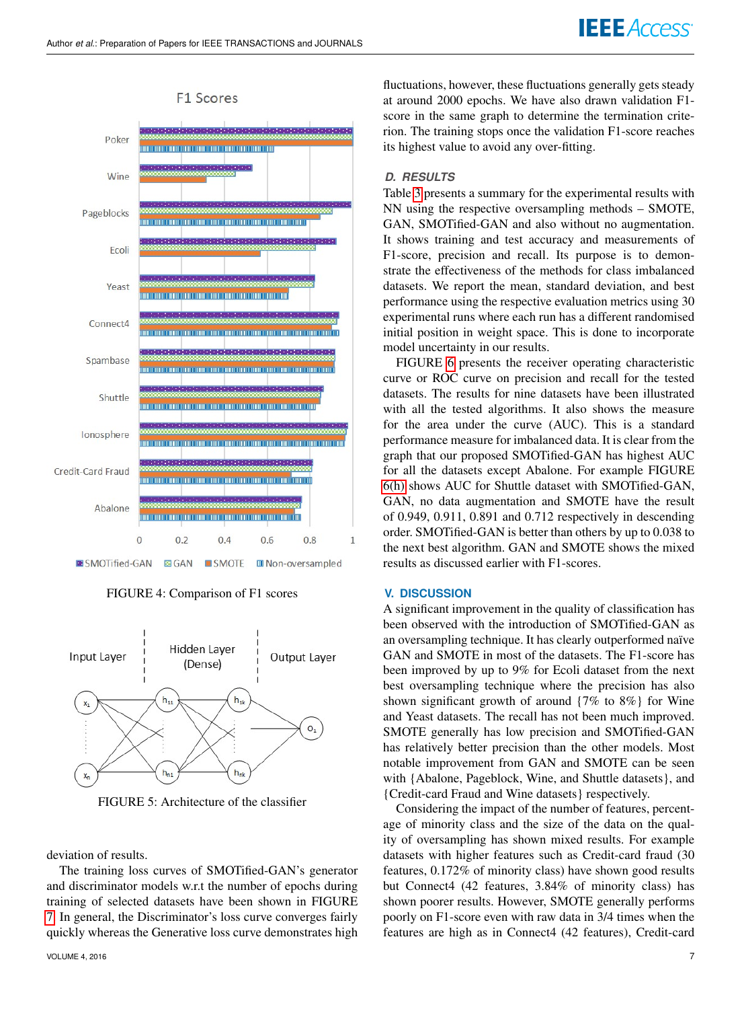<span id="page-6-1"></span>

**F1 Scores** 

FIGURE 4: Comparison of F1 scores

<span id="page-6-0"></span>

FIGURE 5: Architecture of the classifier

deviation of results.

The training loss curves of SMOTified-GAN's generator and discriminator models w.r.t the number of epochs during training of selected datasets have been shown in FIGURE [7.](#page-9-22) In general, the Discriminator's loss curve converges fairly quickly whereas the Generative loss curve demonstrates high fluctuations, however, these fluctuations generally gets steady at around 2000 epochs. We have also drawn validation F1 score in the same graph to determine the termination criterion. The training stops once the validation F1-score reaches its highest value to avoid any over-fitting.

## *D. RESULTS*

Table [3](#page-7-0) presents a summary for the experimental results with NN using the respective oversampling methods – SMOTE, GAN, SMOTified-GAN and also without no augmentation. It shows training and test accuracy and measurements of F1-score, precision and recall. Its purpose is to demonstrate the effectiveness of the methods for class imbalanced datasets. We report the mean, standard deviation, and best performance using the respective evaluation metrics using 30 experimental runs where each run has a different randomised initial position in weight space. This is done to incorporate model uncertainty in our results.

FIGURE [6](#page-8-3) presents the receiver operating characteristic curve or ROC curve on precision and recall for the tested datasets. The results for nine datasets have been illustrated with all the tested algorithms. It also shows the measure for the area under the curve (AUC). This is a standard performance measure for imbalanced data. It is clear from the graph that our proposed SMOTified-GAN has highest AUC for all the datasets except Abalone. For example FIGURE [6\(h\)](#page-8-4) shows AUC for Shuttle dataset with SMOTified-GAN, GAN, no data augmentation and SMOTE have the result of 0.949, 0.911, 0.891 and 0.712 respectively in descending order. SMOTified-GAN is better than others by up to 0.038 to the next best algorithm. GAN and SMOTE shows the mixed results as discussed earlier with F1-scores.

### **V. DISCUSSION**

A significant improvement in the quality of classification has been observed with the introduction of SMOTified-GAN as an oversampling technique. It has clearly outperformed naïve GAN and SMOTE in most of the datasets. The F1-score has been improved by up to 9% for Ecoli dataset from the next best oversampling technique where the precision has also shown significant growth of around {7% to 8%} for Wine and Yeast datasets. The recall has not been much improved. SMOTE generally has low precision and SMOTified-GAN has relatively better precision than the other models. Most notable improvement from GAN and SMOTE can be seen with {Abalone, Pageblock, Wine, and Shuttle datasets}, and {Credit-card Fraud and Wine datasets} respectively.

Considering the impact of the number of features, percentage of minority class and the size of the data on the quality of oversampling has shown mixed results. For example datasets with higher features such as Credit-card fraud (30 features, 0.172% of minority class) have shown good results but Connect4 (42 features, 3.84% of minority class) has shown poorer results. However, SMOTE generally performs poorly on F1-score even with raw data in 3/4 times when the features are high as in Connect4 (42 features), Credit-card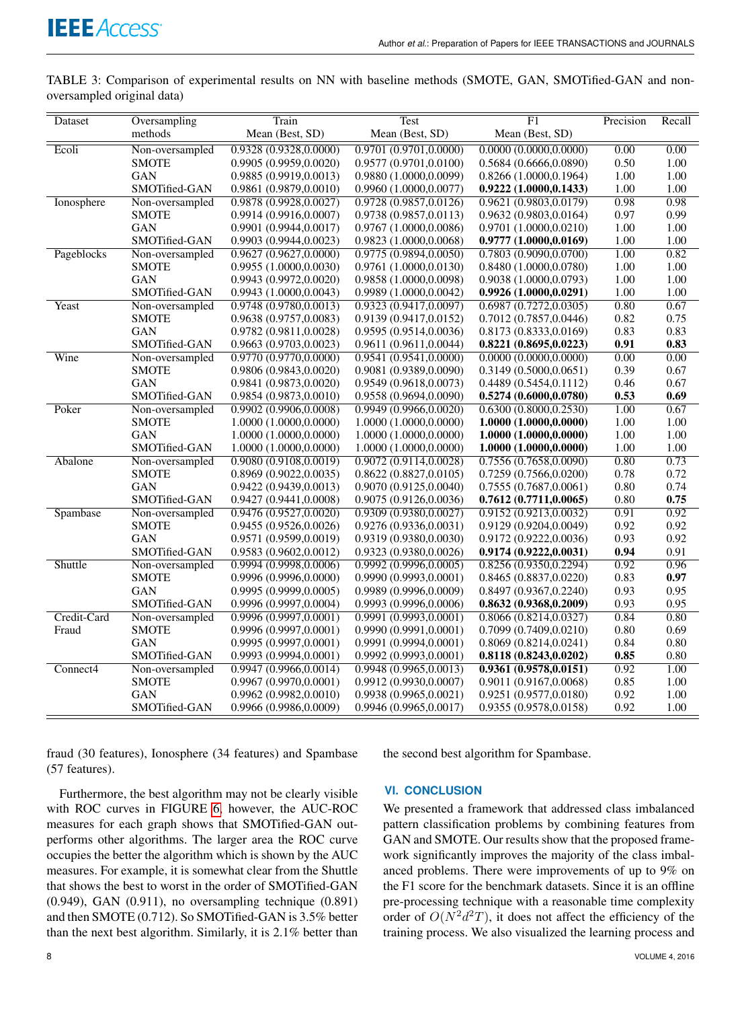<span id="page-7-0"></span>TABLE 3: Comparison of experimental results on NN with baseline methods (SMOTE, GAN, SMOTified-GAN and nonoversampled original data)

| Dataset     | Oversampling    | Train                  | Test                   | F1                     | Precision | Recall |
|-------------|-----------------|------------------------|------------------------|------------------------|-----------|--------|
|             | methods         | Mean (Best, SD)        | Mean (Best, SD)        | Mean (Best, SD)        |           |        |
| Ecoli       | Non-oversampled | 0.9328 (0.9328,0.0000) | 0.9701(0.9701, 0.0000) | 0.0000(0.0000, 0.0000) | 0.00      | 0.00   |
|             | <b>SMOTE</b>    | 0.9905(0.9959, 0.0020) | 0.9577 (0.9701,0.0100) | 0.5684(0.6666, 0.0890) | 0.50      | 1.00   |
|             | <b>GAN</b>      | 0.9885 (0.9919,0.0013) | 0.9880 (1.0000,0.0099) | 0.8266(1.0000, 0.1964) | 1.00      | 1.00   |
|             | SMOTified-GAN   | 0.9861 (0.9879,0.0010) | 0.9960(1.0000, 0.0077) | 0.9222(1.0000, 0.1433) | 1.00      | 1.00   |
| Ionosphere  | Non-oversampled | 0.9878(0.9928, 0.0027) | 0.9728(0.9857, 0.0126) | 0.9621 (0.9803,0.0179) | 0.98      | 0.98   |
|             | <b>SMOTE</b>    | 0.9914(0.9916, 0.0007) | 0.9738(0.9857, 0.0113) | 0.9632(0.9803, 0.0164) | 0.97      | 0.99   |
|             | <b>GAN</b>      | 0.9901 (0.9944,0.0017) | 0.9767 (1.0000,0.0086) | 0.9701 (1.0000,0.0210) | 1.00      | 1.00   |
|             | SMOTified-GAN   | 0.9903(0.9944, 0.0023) | 0.9823 (1.0000,0.0068) | 0.9777(1.0000, 0.0169) | 1.00      | 1.00   |
| Pageblocks  | Non-oversampled | 0.9627(0.9627, 0.0000) | 0.9775 (0.9894,0.0050) | 0.7803 (0.9090,0.0700) | 1.00      | 0.82   |
|             | <b>SMOTE</b>    | 0.9955 (1.0000,0.0030) | 0.9761 (1.0000,0.0130) | 0.8480 (1.0000,0.0780) | 1.00      | 1.00   |
|             | <b>GAN</b>      | 0.9943(0.9972,0.0020)  | 0.9858 (1.0000,0.0098) | 0.9038(1.0000, 0.0793) | 1.00      | 1.00   |
|             | SMOTified-GAN   | 0.9943(1.0000, 0.0043) | 0.9989(1.0000, 0.0042) | 0.9926(1.0000, 0.0291) | 1.00      | 1.00   |
| Yeast       | Non-oversampled | 0.9748 (0.9780,0.0013) | 0.9323 (0.9417,0.0097) | 0.6987(0.7272, 0.0305) | 0.80      | 0.67   |
|             | <b>SMOTE</b>    | 0.9638 (0.9757,0.0083) | 0.9139 (0.9417,0.0152) | 0.7012(0.7857,0.0446)  | 0.82      | 0.75   |
|             | <b>GAN</b>      | 0.9782 (0.9811,0.0028) | 0.9595 (0.9514,0.0036) | 0.8173 (0.8333,0.0169) | 0.83      | 0.83   |
|             | SMOTified-GAN   | 0.9663 (0.9703,0.0023) | 0.9611(0.9611, 0.0044) | 0.8221(0.8695, 0.0223) | 0.91      | 0.83   |
| Wine        | Non-oversampled | 0.9770 (0.9770,0.0000) | 0.9541 (0.9541,0.0000) | 0.0000(0.0000, 0.0000) | 0.00      | 0.00   |
|             | <b>SMOTE</b>    | 0.9806 (0.9843,0.0020) | 0.9081 (0.9389,0.0090) | 0.3149(0.5000, 0.0651) | 0.39      | 0.67   |
|             | <b>GAN</b>      | 0.9841 (0.9873,0.0020) | 0.9549(0.9618,0.0073)  | 0.4489(0.5454, 0.1112) | 0.46      | 0.67   |
|             | SMOTified-GAN   | 0.9854 (0.9873,0.0010) | 0.9558(0.9694, 0.0090) | 0.5274(0.6000, 0.0780) | 0.53      | 0.69   |
| Poker       | Non-oversampled | 0.9902(0.9906, 0.0008) | 0.9949(0.9966, 0.0020) | 0.6300(0.8000, 0.2530) | 1.00      | 0.67   |
|             | <b>SMOTE</b>    | 1.0000 (1.0000,0.0000) | 1.0000 (1.0000,0.0000) | 1.0000 (1.0000,0.0000) | 1.00      | 1.00   |
|             | <b>GAN</b>      | 1.0000(1.0000, 0.0000) | 1.0000 (1.0000.0.0000) | 1.0000(1.0000, 0.0000) | 1.00      | 1.00   |
|             | SMOTified-GAN   | 1.0000(1.0000, 0.0000) | 1.0000 (1.0000,0.0000) | 1.0000(1.0000, 0.0000) | 1.00      | 1.00   |
| Abalone     | Non-oversampled | 0.9080 (0.9108,0.0019) | 0.9072 (0.9114,0.0028) | 0.7556 (0.7658,0.0090) | 0.80      | 0.73   |
|             | <b>SMOTE</b>    | 0.8969(0.9022,0.0035)  | 0.8622(0.8827, 0.0105) | 0.7259(0.7566, 0.0200) | 0.78      | 0.72   |
|             | <b>GAN</b>      | 0.9422 (0.9439,0.0013) | 0.9070 (0.9125,0.0040) | 0.7555(0.7687, 0.0061) | 0.80      | 0.74   |
|             | SMOTified-GAN   | 0.9427 (0.9441,0.0008) | 0.9075(0.9126, 0.0036) | 0.7612(0.7711, 0.0065) | 0.80      | 0.75   |
| Spambase    | Non-oversampled | 0.9476(0.9527, 0.0020) | 0.9309 (0.9380,0.0027) | 0.9152 (0.9213,0.0032) | 0.91      | 0.92   |
|             | <b>SMOTE</b>    | 0.9455 (0.9526,0.0026) | 0.9276(0.9336,0.0031)  | 0.9129 (0.9204,0.0049) | 0.92      | 0.92   |
|             | <b>GAN</b>      | 0.9571 (0.9599,0.0019) | 0.9319(0.9380, 0.0030) | 0.9172(0.9222,0.0036)  | 0.93      | 0.92   |
|             | SMOTified-GAN   | 0.9583 (0.9602,0.0012) | 0.9323 (0.9380,0.0026) | 0.9174(0.9222, 0.0031) | 0.94      | 0.91   |
| Shuttle     | Non-oversampled | 0.9994 (0.9998,0.0006) | 0.9992(0.9996.0.0005)  | 0.8256(0.9350, 0.2294) | 0.92      | 0.96   |
|             | <b>SMOTE</b>    | 0.9996(0.9996, 0.0000) | 0.9990(0.9993,0.0001)  | 0.8465(0.8837, 0.0220) | 0.83      | 0.97   |
|             | <b>GAN</b>      | 0.9995(0.9999, 0.0005) | 0.9989(0.9996, 0.0009) | 0.8497(0.9367, 0.2240) | 0.93      | 0.95   |
|             | SMOTified-GAN   | 0.9996(0.9997, 0.0004) | 0.9993(0.9996, 0.0006) | 0.8632(0.9368, 0.2009) | 0.93      | 0.95   |
| Credit-Card | Non-oversampled | 0.9996(0.9997, 0.0001) | 0.9991(0.9993.0.0001)  | 0.8066 (0.8214,0.0327) | 0.84      | 0.80   |
| Fraud       | <b>SMOTE</b>    | 0.9996(0.9997, 0.0001) | 0.9990(0.9991, 0.0001) | 0.7099(0.7409, 0.0210) | 0.80      | 0.69   |
|             | GAN             | 0.9995 (0.9997,0.0001) | 0.9991 (0.9994,0.0001) | 0.8069(0.8214, 0.0241) | 0.84      | 0.80   |
|             | SMOTified-GAN   | 0.9993(0.9994, 0.0001) | 0.9992(0.9993, 0.0001) | 0.8118(0.8243, 0.0202) | 0.85      | 0.80   |
| Connect4    | Non-oversampled | 0.9947(0.9966, 0.0014) | 0.9948(0.9965, 0.0013) | 0.9361(0.9578, 0.0151) | 0.92      | 1.00   |
|             | <b>SMOTE</b>    | 0.9967(0.9970, 0.0001) | 0.9912(0.9930, 0.0007) | 0.9011 (0.9167,0.0068) | 0.85      | 1.00   |
|             | <b>GAN</b>      | 0.9962(0.9982,0.0010)  | 0.9938(0.9965, 0.0021) | 0.9251(0.9577, 0.0180) | 0.92      | 1.00   |
|             | SMOTified-GAN   | 0.9966 (0.9986,0.0009) | 0.9946 (0.9965,0.0017) | 0.9355 (0.9578,0.0158) | 0.92      | 1.00   |

fraud (30 features), Ionosphere (34 features) and Spambase (57 features).

Furthermore, the best algorithm may not be clearly visible with ROC curves in FIGURE [6,](#page-8-3) however, the AUC-ROC measures for each graph shows that SMOTified-GAN outperforms other algorithms. The larger area the ROC curve occupies the better the algorithm which is shown by the AUC measures. For example, it is somewhat clear from the Shuttle that shows the best to worst in the order of SMOTified-GAN (0.949), GAN (0.911), no oversampling technique (0.891) and then SMOTE (0.712). So SMOTified-GAN is 3.5% better than the next best algorithm. Similarly, it is 2.1% better than

the second best algorithm for Spambase.

#### **VI. CONCLUSION**

We presented a framework that addressed class imbalanced pattern classification problems by combining features from GAN and SMOTE. Our results show that the proposed framework significantly improves the majority of the class imbalanced problems. There were improvements of up to 9% on the F1 score for the benchmark datasets. Since it is an offline pre-processing technique with a reasonable time complexity order of  $O(N^2d^2T)$ , it does not affect the efficiency of the training process. We also visualized the learning process and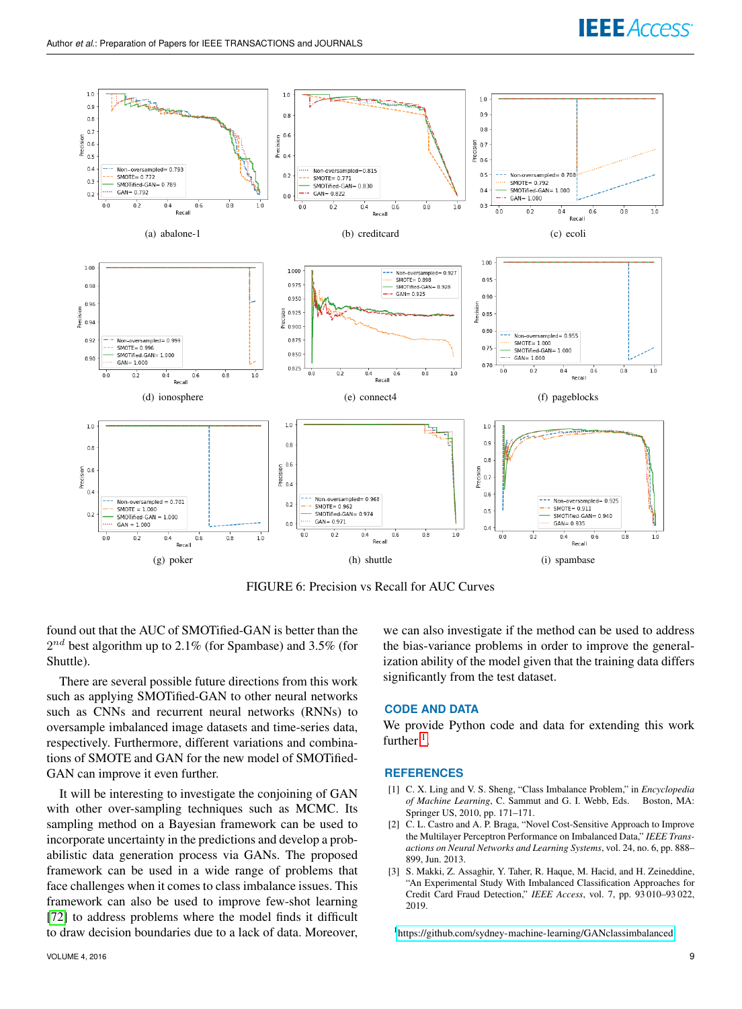<span id="page-8-3"></span>

<span id="page-8-4"></span>FIGURE 6: Precision vs Recall for AUC Curves

found out that the AUC of SMOTified-GAN is better than the  $2^{nd}$  best algorithm up to 2.1% (for Spambase) and 3.5% (for Shuttle).

There are several possible future directions from this work such as applying SMOTified-GAN to other neural networks such as CNNs and recurrent neural networks (RNNs) to oversample imbalanced image datasets and time-series data, respectively. Furthermore, different variations and combinations of SMOTE and GAN for the new model of SMOTified-GAN can improve it even further.

It will be interesting to investigate the conjoining of GAN with other over-sampling techniques such as MCMC. Its sampling method on a Bayesian framework can be used to incorporate uncertainty in the predictions and develop a probabilistic data generation process via GANs. The proposed framework can be used in a wide range of problems that face challenges when it comes to class imbalance issues. This framework can also be used to improve few-shot learning [\[72\]](#page-10-38) to address problems where the model finds it difficult to draw decision boundaries due to a lack of data. Moreover,

we can also investigate if the method can be used to address the bias-variance problems in order to improve the generalization ability of the model given that the training data differs significantly from the test dataset.

#### **CODE AND DATA**

We provide Python code and data for extending this work further  $<sup>1</sup>$  $<sup>1</sup>$  $<sup>1</sup>$ .</sup>

#### **REFERENCES**

- <span id="page-8-0"></span>[1] C. X. Ling and V. S. Sheng, "Class Imbalance Problem," in *Encyclopedia of Machine Learning*, C. Sammut and G. I. Webb, Eds. Springer US, 2010, pp. 171–171.
- <span id="page-8-1"></span>[2] C. L. Castro and A. P. Braga, "Novel Cost-Sensitive Approach to Improve the Multilayer Perceptron Performance on Imbalanced Data," *IEEE Transactions on Neural Networks and Learning Systems*, vol. 24, no. 6, pp. 888– 899, Jun. 2013.
- <span id="page-8-2"></span>[3] S. Makki, Z. Assaghir, Y. Taher, R. Haque, M. Hacid, and H. Zeineddine, "An Experimental Study With Imbalanced Classification Approaches for Credit Card Fraud Detection," *IEEE Access*, vol. 7, pp. 93 010–93 022, 2019.

<span id="page-8-5"></span><sup>1</sup><https://github.com/sydney-machine-learning/GANclassimbalanced>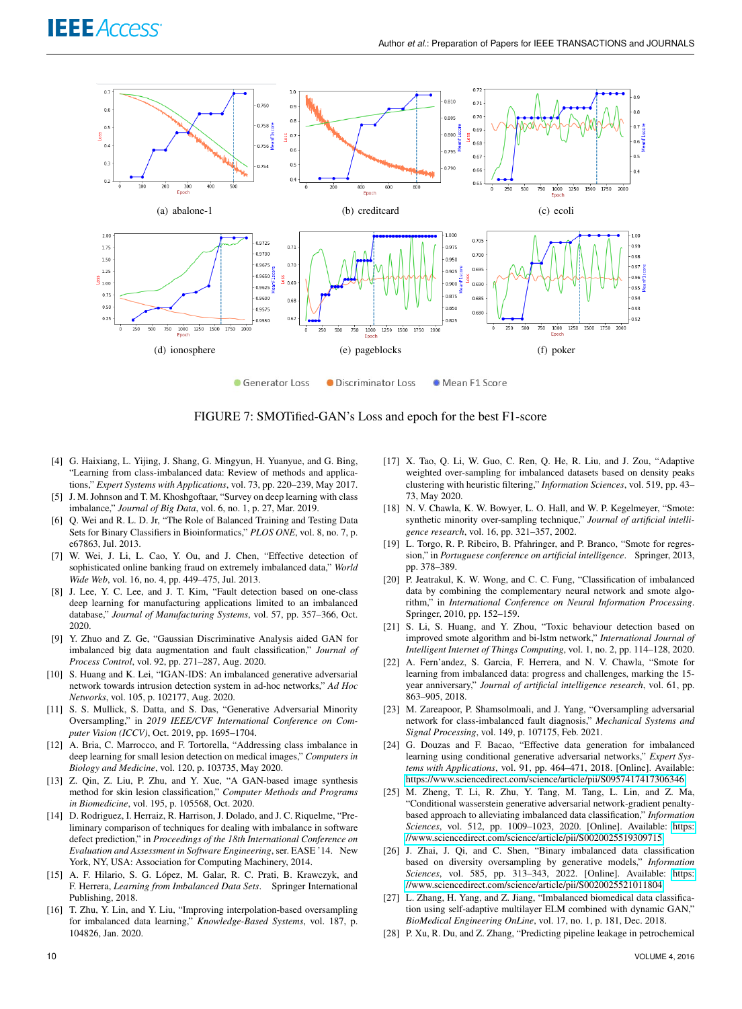<span id="page-9-22"></span>

FIGURE 7: SMOTified-GAN's Loss and epoch for the best F1-score

- <span id="page-9-7"></span>[4] G. Haixiang, L. Yijing, J. Shang, G. Mingyun, H. Yuanyue, and G. Bing, "Learning from class-imbalanced data: Review of methods and applications," *Expert Systems with Applications*, vol. 73, pp. 220–239, May 2017.
- <span id="page-9-0"></span>[5] J. M. Johnson and T. M. Khoshgoftaar, "Survey on deep learning with class imbalance," *Journal of Big Data*, vol. 6, no. 1, p. 27, Mar. 2019.
- <span id="page-9-1"></span>[6] Q. Wei and R. L. D. Jr, "The Role of Balanced Training and Testing Data Sets for Binary Classifiers in Bioinformatics," *PLOS ONE*, vol. 8, no. 7, p. e67863, Jul. 2013.
- <span id="page-9-2"></span>[7] W. Wei, J. Li, L. Cao, Y. Ou, and J. Chen, "Effective detection of sophisticated online banking fraud on extremely imbalanced data," *World Wide Web*, vol. 16, no. 4, pp. 449–475, Jul. 2013.
- <span id="page-9-20"></span>[8] J. Lee, Y. C. Lee, and J. T. Kim, "Fault detection based on one-class deep learning for manufacturing applications limited to an imbalanced database," *Journal of Manufacturing Systems*, vol. 57, pp. 357–366, Oct. 2020.
- [9] Y. Zhuo and Z. Ge, "Gaussian Discriminative Analysis aided GAN for imbalanced big data augmentation and fault classification," *Journal of Process Control*, vol. 92, pp. 271–287, Aug. 2020.
- [10] S. Huang and K. Lei, "IGAN-IDS: An imbalanced generative adversarial network towards intrusion detection system in ad-hoc networks," *Ad Hoc Networks*, vol. 105, p. 102177, Aug. 2020.
- <span id="page-9-3"></span>[11] S. S. Mullick, S. Datta, and S. Das, "Generative Adversarial Minority Oversampling," in *2019 IEEE/CVF International Conference on Computer Vision (ICCV)*, Oct. 2019, pp. 1695–1704.
- <span id="page-9-4"></span>[12] A. Bria, C. Marrocco, and F. Tortorella, "Addressing class imbalance in deep learning for small lesion detection on medical images," *Computers in Biology and Medicine*, vol. 120, p. 103735, May 2020.
- <span id="page-9-5"></span>[13] Z. Qin, Z. Liu, P. Zhu, and Y. Xue, "A GAN-based image synthesis method for skin lesion classification," *Computer Methods and Programs in Biomedicine*, vol. 195, p. 105568, Oct. 2020.
- <span id="page-9-6"></span>[14] D. Rodriguez, I. Herraiz, R. Harrison, J. Dolado, and J. C. Riquelme, "Preliminary comparison of techniques for dealing with imbalance in software defect prediction," in *Proceedings of the 18th International Conference on Evaluation and Assessment in Software Engineering*, ser. EASE '14. New York, NY, USA: Association for Computing Machinery, 2014.
- <span id="page-9-8"></span>[15] A. F. Hilario, S. G. López, M. Galar, R. C. Prati, B. Krawczyk, and F. Herrera, *Learning from Imbalanced Data Sets*. Springer International Publishing, 2018.
- <span id="page-9-9"></span>[16] T. Zhu, Y. Lin, and Y. Liu, "Improving interpolation-based oversampling for imbalanced data learning," *Knowledge-Based Systems*, vol. 187, p. 104826, Jan. 2020.
- <span id="page-9-10"></span>[17] X. Tao, Q. Li, W. Guo, C. Ren, Q. He, R. Liu, and J. Zou, "Adaptive weighted over-sampling for imbalanced datasets based on density peaks clustering with heuristic filtering," *Information Sciences*, vol. 519, pp. 43– 73, May 2020.
- <span id="page-9-11"></span>[18] N. V. Chawla, K. W. Bowyer, L. O. Hall, and W. P. Kegelmeyer, "Smote: synthetic minority over-sampling technique," *Journal of artificial intelligence research*, vol. 16, pp. 321–357, 2002.
- <span id="page-9-12"></span>[19] L. Torgo, R. P. Ribeiro, B. Pfahringer, and P. Branco, "Smote for regression," in *Portuguese conference on artificial intelligence*. Springer, 2013, pp. 378–389.
- <span id="page-9-13"></span>[20] P. Jeatrakul, K. W. Wong, and C. C. Fung, "Classification of imbalanced data by combining the complementary neural network and smote algorithm," in *International Conference on Neural Information Processing*. Springer, 2010, pp. 152–159.
- <span id="page-9-14"></span>[21] S. Li, S. Huang, and Y. Zhou, "Toxic behaviour detection based on improved smote algorithm and bi-lstm network," *International Journal of Intelligent Internet of Things Computing*, vol. 1, no. 2, pp. 114–128, 2020.
- <span id="page-9-15"></span>[22] A. Fern'andez, S. Garcia, F. Herrera, and N. V. Chawla, "Smote for learning from imbalanced data: progress and challenges, marking the 15 year anniversary," *Journal of artificial intelligence research*, vol. 61, pp. 863–905, 2018.
- <span id="page-9-16"></span>[23] M. Zareapoor, P. Shamsolmoali, and J. Yang, "Oversampling adversarial network for class-imbalanced fault diagnosis," *Mechanical Systems and Signal Processing*, vol. 149, p. 107175, Feb. 2021.
- <span id="page-9-21"></span>[24] G. Douzas and F. Bacao, "Effective data generation for imbalanced learning using conditional generative adversarial networks," *Expert Systems with Applications*, vol. 91, pp. 464–471, 2018. [Online]. Available: <https://www.sciencedirect.com/science/article/pii/S0957417417306346>
- [25] M. Zheng, T. Li, R. Zhu, Y. Tang, M. Tang, L. Lin, and Z. Ma, "Conditional wasserstein generative adversarial network-gradient penaltybased approach to alleviating imbalanced data classification," *Information Sciences*, vol. 512, pp. 1009–1023, 2020. [Online]. Available: [https:](https://www.sciencedirect.com/science/article/pii/S0020025519309715) [//www.sciencedirect.com/science/article/pii/S0020025519309715](https://www.sciencedirect.com/science/article/pii/S0020025519309715)
- <span id="page-9-17"></span>[26] J. Zhai, J. Qi, and C. Shen, "Binary imbalanced data classification based on diversity oversampling by generative models," *Information Sciences*, vol. 585, pp. 313–343, 2022. [Online]. Available: [https:](https://www.sciencedirect.com/science/article/pii/S0020025521011804) [//www.sciencedirect.com/science/article/pii/S0020025521011804](https://www.sciencedirect.com/science/article/pii/S0020025521011804)
- <span id="page-9-18"></span>[27] L. Zhang, H. Yang, and Z. Jiang, "Imbalanced biomedical data classification using self-adaptive multilayer ELM combined with dynamic GAN," *BioMedical Engineering OnLine*, vol. 17, no. 1, p. 181, Dec. 2018.
- <span id="page-9-19"></span>[28] P. Xu, R. Du, and Z. Zhang, "Predicting pipeline leakage in petrochemical